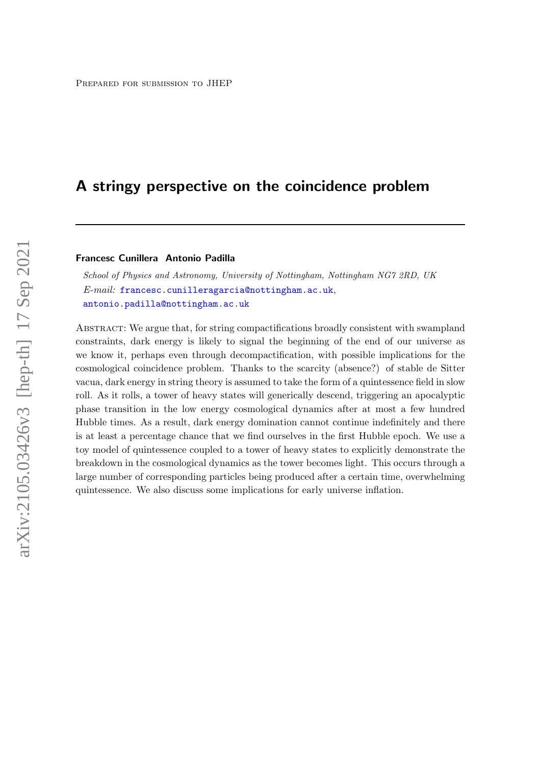# A stringy perspective on the coincidence problem

# Francesc Cunillera Antonio Padilla

School of Physics and Astronomy, University of Nottingham, Nottingham NG7 2RD, UK E-mail: [francesc.cunilleragarcia@nottingham.ac.uk](mailto:francesc.cunilleragarcia@nottingham.ac.uk), [antonio.padilla@nottingham.ac.uk](mailto:antonio.padilla@nottingham.ac.uk)

Abstract: We argue that, for string compactifications broadly consistent with swampland constraints, dark energy is likely to signal the beginning of the end of our universe as we know it, perhaps even through decompactification, with possible implications for the cosmological coincidence problem. Thanks to the scarcity (absence?) of stable de Sitter vacua, dark energy in string theory is assumed to take the form of a quintessence field in slow roll. As it rolls, a tower of heavy states will generically descend, triggering an apocalyptic phase transition in the low energy cosmological dynamics after at most a few hundred Hubble times. As a result, dark energy domination cannot continue indefinitely and there is at least a percentage chance that we find ourselves in the first Hubble epoch. We use a toy model of quintessence coupled to a tower of heavy states to explicitly demonstrate the breakdown in the cosmological dynamics as the tower becomes light. This occurs through a large number of corresponding particles being produced after a certain time, overwhelming quintessence. We also discuss some implications for early universe inflation.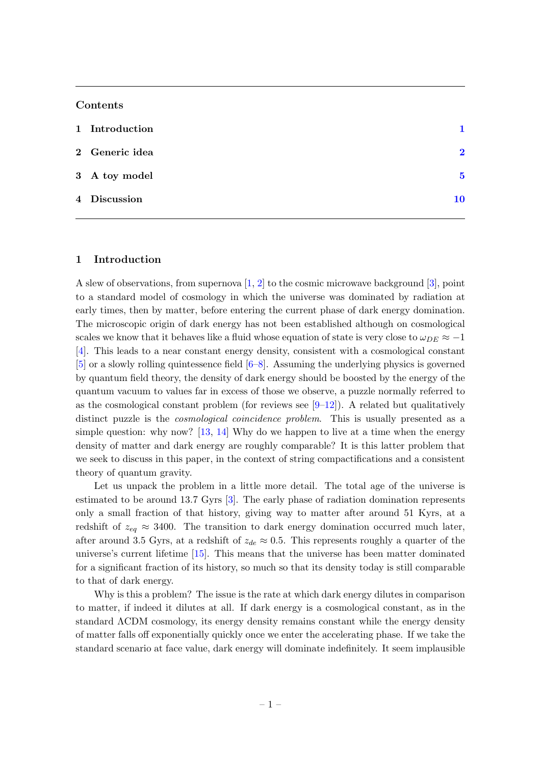### Contents

| 1 Introduction |              |
|----------------|--------------|
| 2 Generic idea | $\mathbf{D}$ |
| 3 A toy model  | $\bf{5}$     |
| 4 Discussion   | 10           |

# <span id="page-1-0"></span>1 Introduction

A slew of observations, from supernova [\[1,](#page-11-0) [2\]](#page-11-1) to the cosmic microwave background [\[3\]](#page-11-2), point to a standard model of cosmology in which the universe was dominated by radiation at early times, then by matter, before entering the current phase of dark energy domination. The microscopic origin of dark energy has not been established although on cosmological scales we know that it behaves like a fluid whose equation of state is very close to  $\omega_{DE} \approx -1$ [\[4\]](#page-11-3). This leads to a near constant energy density, consistent with a cosmological constant [\[5\]](#page-11-4) or a slowly rolling quintessence field [\[6–](#page-12-0)[8\]](#page-12-1). Assuming the underlying physics is governed by quantum field theory, the density of dark energy should be boosted by the energy of the quantum vacuum to values far in excess of those we observe, a puzzle normally referred to as the cosmological constant problem (for reviews see  $[9-12]$  $[9-12]$ ). A related but qualitatively distinct puzzle is the *cosmological coincidence problem*. This is usually presented as a simple question: why now? [\[13,](#page-12-4) [14\]](#page-12-5) Why do we happen to live at a time when the energy density of matter and dark energy are roughly comparable? It is this latter problem that we seek to discuss in this paper, in the context of string compactifications and a consistent theory of quantum gravity.

Let us unpack the problem in a little more detail. The total age of the universe is estimated to be around 13.7 Gyrs [\[3\]](#page-11-2). The early phase of radiation domination represents only a small fraction of that history, giving way to matter after around 51 Kyrs, at a redshift of  $z_{eq} \approx 3400$ . The transition to dark energy domination occurred much later, after around 3.5 Gyrs, at a redshift of  $z_{de} \approx 0.5$ . This represents roughly a quarter of the universe's current lifetime [\[15\]](#page-12-6). This means that the universe has been matter dominated for a significant fraction of its history, so much so that its density today is still comparable to that of dark energy.

Why is this a problem? The issue is the rate at which dark energy dilutes in comparison to matter, if indeed it dilutes at all. If dark energy is a cosmological constant, as in the standard ΛCDM cosmology, its energy density remains constant while the energy density of matter falls off exponentially quickly once we enter the accelerating phase. If we take the standard scenario at face value, dark energy will dominate indefinitely. It seem implausible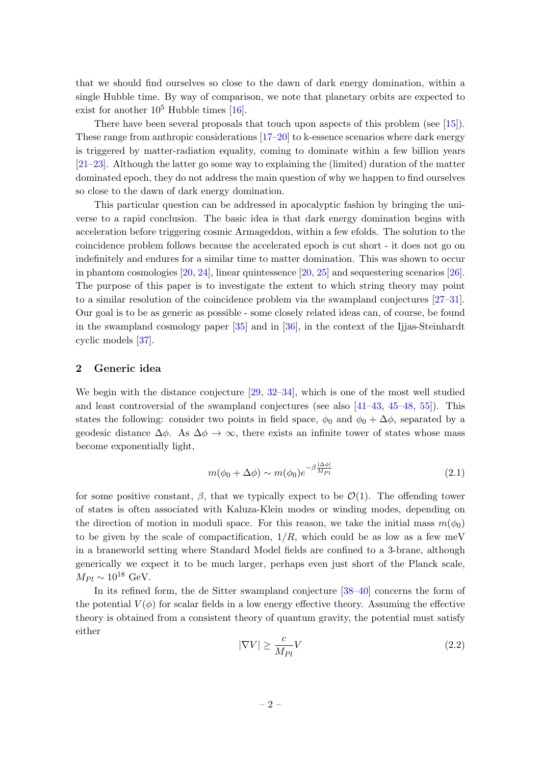that we should find ourselves so close to the dawn of dark energy domination, within a single Hubble time. By way of comparison, we note that planetary orbits are expected to exist for another  $10^5$  Hubble times [\[16\]](#page-12-7).

There have been several proposals that touch upon aspects of this problem (see [\[15\]](#page-12-6)). These range from anthropic considerations [\[17–](#page-12-8)[20\]](#page-12-9) to k-essence scenarios where dark energy is triggered by matter-radiation equality, coming to dominate within a few billion years [\[21–](#page-12-10)[23\]](#page-12-11). Although the latter go some way to explaining the (limited) duration of the matter dominated epoch, they do not address the main question of why we happen to find ourselves so close to the dawn of dark energy domination.

This particular question can be addressed in apocalyptic fashion by bringing the universe to a rapid conclusion. The basic idea is that dark energy domination begins with acceleration before triggering cosmic Armageddon, within a few efolds. The solution to the coincidence problem follows because the accelerated epoch is cut short - it does not go on indefinitely and endures for a similar time to matter domination. This was shown to occur in phantom cosmologies [\[20,](#page-12-9) [24\]](#page-12-12), linear quintessence [\[20,](#page-12-9) [25\]](#page-12-13) and sequestering scenarios [\[26\]](#page-12-14). The purpose of this paper is to investigate the extent to which string theory may point to a similar resolution of the coincidence problem via the swampland conjectures [\[27–](#page-12-15)[31\]](#page-12-16). Our goal is to be as generic as possible - some closely related ideas can, of course, be found in the swampland cosmology paper [\[35\]](#page-13-0) and in [\[36\]](#page-13-1), in the context of the Ijjas-Steinhardt cyclic models [\[37\]](#page-13-2).

#### <span id="page-2-0"></span>2 Generic idea

We begin with the distance conjecture [\[29,](#page-12-17) [32](#page-13-3)[–34\]](#page-13-4), which is one of the most well studied and least controversial of the swampland conjectures (see also  $[41-43, 45-48, 55]$  $[41-43, 45-48, 55]$  $[41-43, 45-48, 55]$  $[41-43, 45-48, 55]$  $[41-43, 45-48, 55]$  $[41-43, 45-48, 55]$ ). This states the following: consider two points in field space,  $\phi_0$  and  $\phi_0 + \Delta \phi$ , separated by a geodesic distance  $\Delta\phi$ . As  $\Delta\phi \rightarrow \infty$ , there exists an infinite tower of states whose mass become exponentially light,

<span id="page-2-2"></span>
$$
m(\phi_0 + \Delta \phi) \sim m(\phi_0) e^{-\beta \frac{|\Delta \phi|}{M_{Pl}}} \tag{2.1}
$$

for some positive constant,  $\beta$ , that we typically expect to be  $\mathcal{O}(1)$ . The offending tower of states is often associated with Kaluza-Klein modes or winding modes, depending on the direction of motion in moduli space. For this reason, we take the initial mass  $m(\phi_0)$ to be given by the scale of compactification,  $1/R$ , which could be as low as a few meV in a braneworld setting where Standard Model fields are confined to a 3-brane, although generically we expect it to be much larger, perhaps even just short of the Planck scale,  $M_{Pl} \sim 10^{18}$  GeV.

In its refined form, the de Sitter swampland conjecture [\[38–](#page-13-10)[40\]](#page-13-11) concerns the form of the potential  $V(\phi)$  for scalar fields in a low energy effective theory. Assuming the effective theory is obtained from a consistent theory of quantum gravity, the potential must satisfy either

<span id="page-2-1"></span>
$$
|\nabla V| \ge \frac{c}{M_{Pl}} V \tag{2.2}
$$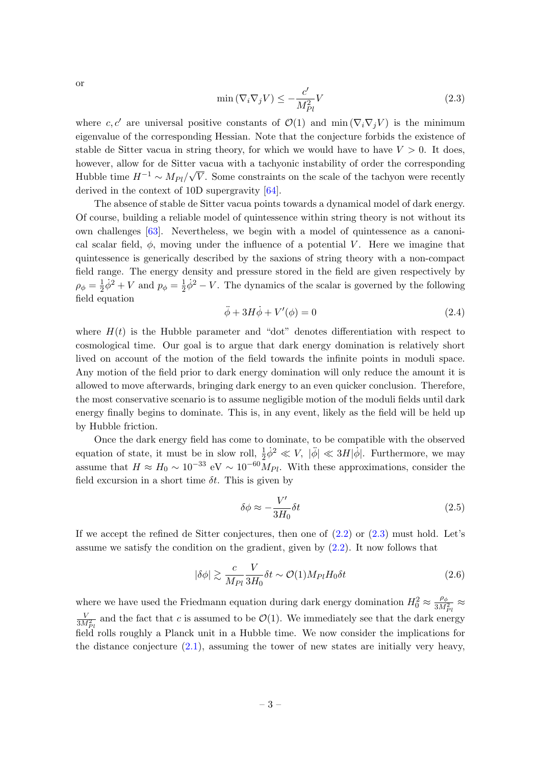or

<span id="page-3-0"></span>
$$
\min\left(\nabla_i \nabla_j V\right) \le -\frac{c'}{M_{Pl}^2} V\tag{2.3}
$$

where c, c' are universal positive constants of  $\mathcal{O}(1)$  and min  $(\nabla_i \nabla_j V)$  is the minimum eigenvalue of the corresponding Hessian. Note that the conjecture forbids the existence of stable de Sitter vacua in string theory, for which we would have to have  $V > 0$ . It does, however, allow for de Sitter vacua with a tachyonic instability of order the corresponding Hubble time  $H^{-1} \sim M_{Pl}/\sqrt{V}$ . Some constraints on the scale of the tachyon were recently derived in the context of 10D supergravity [\[64\]](#page-14-0).

The absence of stable de Sitter vacua points towards a dynamical model of dark energy. Of course, building a reliable model of quintessence within string theory is not without its own challenges [\[63\]](#page-14-1). Nevertheless, we begin with a model of quintessence as a canonical scalar field,  $\phi$ , moving under the influence of a potential V. Here we imagine that quintessence is generically described by the saxions of string theory with a non-compact field range. The energy density and pressure stored in the field are given respectively by  $\rho _{\phi }=\frac{1}{2}% \int\limits_{0}^{2\left| \phi \right| ^{2}}\left\vert \phi \right\vert ^{2}d\Omega _{0}^{2}$  $\frac{1}{2}\dot{\phi}^2 + V$  and  $p_{\phi} = \frac{1}{2}$  $\frac{1}{2}\dot{\phi}^2 - V$ . The dynamics of the scalar is governed by the following field equation

$$
\ddot{\phi} + 3H\dot{\phi} + V'(\phi) = 0 \tag{2.4}
$$

where  $H(t)$  is the Hubble parameter and "dot" denotes differentiation with respect to cosmological time. Our goal is to argue that dark energy domination is relatively short lived on account of the motion of the field towards the infinite points in moduli space. Any motion of the field prior to dark energy domination will only reduce the amount it is allowed to move afterwards, bringing dark energy to an even quicker conclusion. Therefore, the most conservative scenario is to assume negligible motion of the moduli fields until dark energy finally begins to dominate. This is, in any event, likely as the field will be held up by Hubble friction.

Once the dark energy field has come to dominate, to be compatible with the observed equation of state, it must be in slow roll,  $\frac{1}{2}\dot{\phi}^2 \ll V$ ,  $|\ddot{\phi}| \ll 3H|\dot{\phi}|$ . Furthermore, we may assume that  $H \approx H_0 \sim 10^{-33} \text{ eV} \sim 10^{-60} M_{Pl}$ . With these approximations, consider the field excursion in a short time  $\delta t$ . This is given by

$$
\delta\phi \approx -\frac{V'}{3H_0}\delta t\tag{2.5}
$$

If we accept the refined de Sitter conjectures, then one of  $(2.2)$  or  $(2.3)$  must hold. Let's assume we satisfy the condition on the gradient, given by [\(2.2\)](#page-2-1). It now follows that

$$
|\delta\phi| \gtrsim \frac{c}{M_{Pl}} \frac{V}{3H_0} \delta t \sim \mathcal{O}(1) M_{Pl} H_0 \delta t \tag{2.6}
$$

where we have used the Friedmann equation during dark energy domination  $H_0^2 \approx \frac{\rho_\phi}{3M}$  $\frac{\rho_{\phi}}{3M_{Pl}^2} \approx$  $\frac{V}{3M_{Pl}^2}$  and the fact that c is assumed to be  $\mathcal{O}(1)$ . We immediately see that the dark energy field rolls roughly a Planck unit in a Hubble time. We now consider the implications for the distance conjecture  $(2.1)$ , assuming the tower of new states are initially very heavy,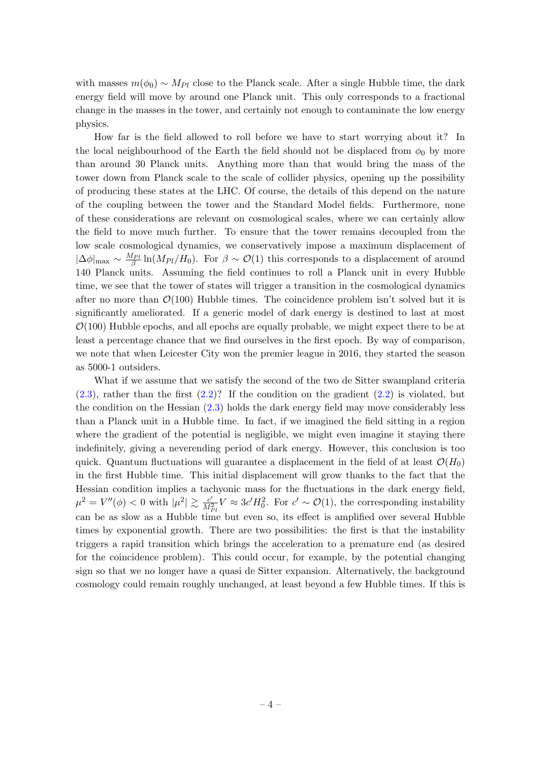with masses  $m(\phi_0) \sim M_{Pl}$  close to the Planck scale. After a single Hubble time, the dark energy field will move by around one Planck unit. This only corresponds to a fractional change in the masses in the tower, and certainly not enough to contaminate the low energy physics.

How far is the field allowed to roll before we have to start worrying about it? In the local neighbourhood of the Earth the field should not be displaced from  $\phi_0$  by more than around 30 Planck units. Anything more than that would bring the mass of the tower down from Planck scale to the scale of collider physics, opening up the possibility of producing these states at the LHC. Of course, the details of this depend on the nature of the coupling between the tower and the Standard Model fields. Furthermore, none of these considerations are relevant on cosmological scales, where we can certainly allow the field to move much further. To ensure that the tower remains decoupled from the low scale cosmological dynamics, we conservatively impose a maximum displacement of  $|\Delta\phi|_{\text{max}} \sim \frac{M_{Pl}}{\beta} \ln(M_{Pl}/H_0)$ . For  $\beta \sim \mathcal{O}(1)$  this corresponds to a displacement of around 140 Planck units. Assuming the field continues to roll a Planck unit in every Hubble time, we see that the tower of states will trigger a transition in the cosmological dynamics after no more than  $\mathcal{O}(100)$  Hubble times. The coincidence problem isn't solved but it is significantly ameliorated. If a generic model of dark energy is destined to last at most  $\mathcal{O}(100)$  Hubble epochs, and all epochs are equally probable, we might expect there to be at least a percentage chance that we find ourselves in the first epoch. By way of comparison, we note that when Leicester City won the premier league in 2016, they started the season as 5000-1 outsiders.

What if we assume that we satisfy the second of the two de Sitter swampland criteria  $(2.3)$ , rather than the first  $(2.2)$ ? If the condition on the gradient  $(2.2)$  is violated, but the condition on the Hessian [\(2.3\)](#page-3-0) holds the dark energy field may move considerably less than a Planck unit in a Hubble time. In fact, if we imagined the field sitting in a region where the gradient of the potential is negligible, we might even imagine it staying there indefinitely, giving a neverending period of dark energy. However, this conclusion is too quick. Quantum fluctuations will guarantee a displacement in the field of at least  $\mathcal{O}(H_0)$ in the first Hubble time. This initial displacement will grow thanks to the fact that the Hessian condition implies a tachyonic mass for the fluctuations in the dark energy field,  $\mu^2 = V''(\phi) < 0$  with  $|\mu^2| \gtrsim \frac{c'}{M^2}$  $\frac{c'}{M_{Pl}^2}V \approx 3c'H_0^2$ . For  $c' \sim \mathcal{O}(1)$ , the corresponding instability can be as slow as a Hubble time but even so, its effect is amplified over several Hubble times by exponential growth. There are two possibilities: the first is that the instability triggers a rapid transition which brings the acceleration to a premature end (as desired for the coincidence problem). This could occur, for example, by the potential changing sign so that we no longer have a quasi de Sitter expansion. Alternatively, the background cosmology could remain roughly unchanged, at least beyond a few Hubble times. If this is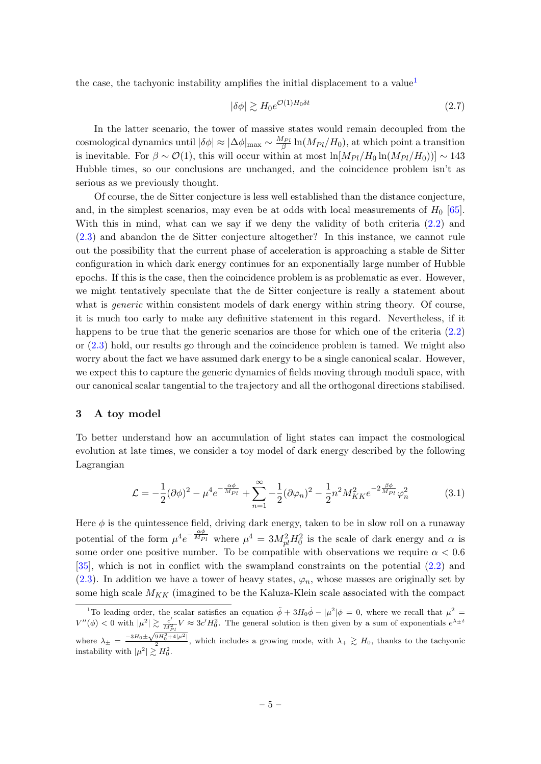the case, the tachyonic instability amplifies the initial displacement to a value

$$
|\delta\phi| \gtrsim H_0 e^{\mathcal{O}(1)H_0 \delta t} \tag{2.7}
$$

In the latter scenario, the tower of massive states would remain decoupled from the cosmological dynamics until  $|\delta \phi| \approx |\Delta \phi|_{\text{max}} \sim \frac{M_{Pl}}{\beta} \ln(M_{Pl}/H_0)$ , at which point a transition is inevitable. For  $\beta \sim \mathcal{O}(1)$ , this will occur within at most  $\ln[M_{Pl}/H_0 \ln(M_{Pl}/H_0))] \sim 143$ Hubble times, so our conclusions are unchanged, and the coincidence problem isn't as serious as we previously thought.

Of course, the de Sitter conjecture is less well established than the distance conjecture, and, in the simplest scenarios, may even be at odds with local measurements of  $H_0$  [\[65\]](#page-14-2). With this in mind, what can we say if we deny the validity of both criteria  $(2.2)$  and [\(2.3\)](#page-3-0) and abandon the de Sitter conjecture altogether? In this instance, we cannot rule out the possibility that the current phase of acceleration is approaching a stable de Sitter configuration in which dark energy continues for an exponentially large number of Hubble epochs. If this is the case, then the coincidence problem is as problematic as ever. However, we might tentatively speculate that the de Sitter conjecture is really a statement about what is *generic* within consistent models of dark energy within string theory. Of course, it is much too early to make any definitive statement in this regard. Nevertheless, if it happens to be true that the generic scenarios are those for which one of the criteria  $(2.2)$ or [\(2.3\)](#page-3-0) hold, our results go through and the coincidence problem is tamed. We might also worry about the fact we have assumed dark energy to be a single canonical scalar. However, we expect this to capture the generic dynamics of fields moving through moduli space, with our canonical scalar tangential to the trajectory and all the orthogonal directions stabilised.

#### <span id="page-5-0"></span>3 A toy model

To better understand how an accumulation of light states can impact the cosmological evolution at late times, we consider a toy model of dark energy described by the following Lagrangian

$$
\mathcal{L} = -\frac{1}{2}(\partial\phi)^2 - \mu^4 e^{-\frac{\alpha\phi}{M_{Pl}}} + \sum_{n=1}^{\infty} -\frac{1}{2}(\partial\varphi_n)^2 - \frac{1}{2}n^2 M_{KK}^2 e^{-2\frac{\beta\phi}{M_{Pl}}} \varphi_n^2
$$
(3.1)

Here  $\phi$  is the quintessence field, driving dark energy, taken to be in slow roll on a runaway potential of the form  $\mu^4 e^{-\frac{\alpha\phi}{M_{Pl}}}$  where  $\mu^4 = 3M_{pl}^2H_0^2$  is the scale of dark energy and  $\alpha$  is some order one positive number. To be compatible with observations we require  $\alpha < 0.6$ [\[35\]](#page-13-0), which is not in conflict with the swampland constraints on the potential [\(2.2\)](#page-2-1) and [\(2.3\)](#page-3-0). In addition we have a tower of heavy states,  $\varphi_n$ , whose masses are originally set by some high scale  $M_{KK}$  (imagined to be the Kaluza-Klein scale associated with the compact

<span id="page-5-1"></span><sup>&</sup>lt;sup>1</sup>To leading order, the scalar satisfies an equation  $\ddot{\phi} + 3H_0\dot{\phi} - |\mu^2|\phi = 0$ , where we recall that  $\mu^2 =$  $V''(\phi) < 0$  with  $|\mu^2| \gtrsim \frac{c'}{M_{Pl}^2} V \approx 3c'H_0^2$ . The general solution is then given by a sum of exponentials  $e^{\lambda \pm t}$ where  $\lambda_{\pm} = \frac{-3H_0 \pm \sqrt{9H_0^2 + 4|\mu^2|}}{2}$ , which includes a growing mode, with  $\lambda_{+} \gtrsim H_0$ , thanks to the tachyonic √ instability with  $|\mu^2| \gtrsim H_0^2$ .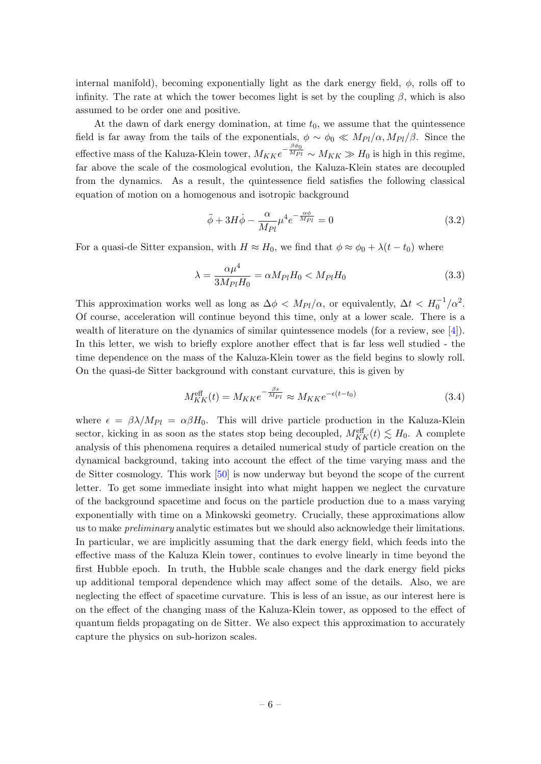internal manifold), becoming exponentially light as the dark energy field,  $\phi$ , rolls off to infinity. The rate at which the tower becomes light is set by the coupling  $\beta$ , which is also assumed to be order one and positive.

At the dawn of dark energy domination, at time  $t_0$ , we assume that the quintessence field is far away from the tails of the exponentials,  $\phi \sim \phi_0 \ll M_{Pl}/\alpha$ ,  $M_{Pl}/\beta$ . Since the effective mass of the Kaluza-Klein tower,  $M_{KK}e^{-\frac{\beta\phi_0}{M_{Pl}}}\sim M_{KK}\gg H_0$  is high in this regime, far above the scale of the cosmological evolution, the Kaluza-Klein states are decoupled from the dynamics. As a result, the quintessence field satisfies the following classical equation of motion on a homogenous and isotropic background

$$
\ddot{\phi} + 3H\dot{\phi} - \frac{\alpha}{M_{Pl}}\mu^4 e^{-\frac{\alpha\phi}{M_{Pl}}} = 0
$$
\n(3.2)

For a quasi-de Sitter expansion, with  $H \approx H_0$ , we find that  $\phi \approx \phi_0 + \lambda(t - t_0)$  where

$$
\lambda = \frac{\alpha \mu^4}{3M_{Pl}H_0} = \alpha M_{Pl}H_0 < M_{Pl}H_0
$$
\n(3.3)

This approximation works well as long as  $\Delta \phi < M_{Pl}/\alpha$ , or equivalently,  $\Delta t < H_0^{-1}/\alpha^2$ . Of course, acceleration will continue beyond this time, only at a lower scale. There is a wealth of literature on the dynamics of similar quintessence models (for a review, see [\[4\]](#page-11-3)). In this letter, we wish to briefly explore another effect that is far less well studied - the time dependence on the mass of the Kaluza-Klein tower as the field begins to slowly roll. On the quasi-de Sitter background with constant curvature, this is given by

$$
M_{KK}^{\text{eff}}(t) = M_{KK} e^{-\frac{\beta s}{M_{Pl}}} \approx M_{KK} e^{-\epsilon(t - t_0)}
$$
\n(3.4)

where  $\epsilon = \beta \lambda / M_{Pl} = \alpha \beta H_0$ . This will drive particle production in the Kaluza-Klein sector, kicking in as soon as the states stop being decoupled,  $M_{KK}^{\text{eff}}(t) \lesssim H_0$ . A complete analysis of this phenomena requires a detailed numerical study of particle creation on the dynamical background, taking into account the effect of the time varying mass and the de Sitter cosmology. This work [\[50\]](#page-13-12) is now underway but beyond the scope of the current letter. To get some immediate insight into what might happen we neglect the curvature of the background spacetime and focus on the particle production due to a mass varying exponentially with time on a Minkowski geometry. Crucially, these approximations allow us to make *preliminary* analytic estimates but we should also acknowledge their limitations. In particular, we are implicitly assuming that the dark energy field, which feeds into the effective mass of the Kaluza Klein tower, continues to evolve linearly in time beyond the first Hubble epoch. In truth, the Hubble scale changes and the dark energy field picks up additional temporal dependence which may affect some of the details. Also, we are neglecting the effect of spacetime curvature. This is less of an issue, as our interest here is on the effect of the changing mass of the Kaluza-Klein tower, as opposed to the effect of quantum fields propagating on de Sitter. We also expect this approximation to accurately capture the physics on sub-horizon scales.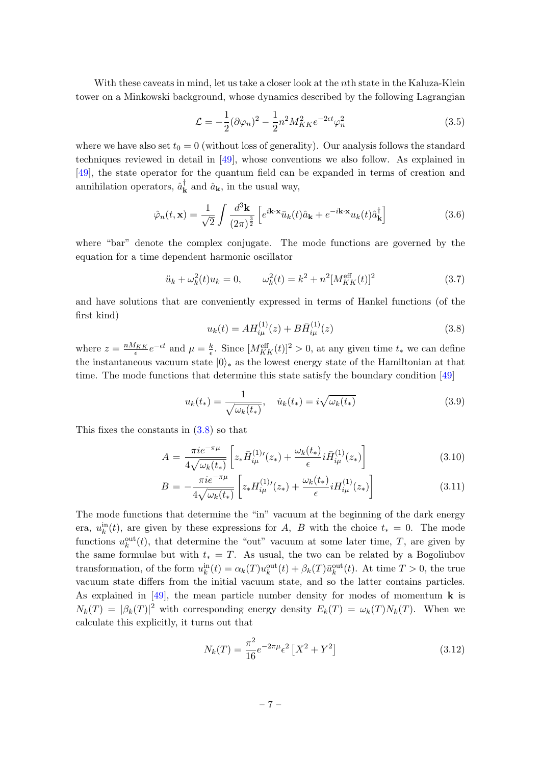With these caveats in mind, let us take a closer look at the nth state in the Kaluza-Klein tower on a Minkowski background, whose dynamics described by the following Lagrangian

$$
\mathcal{L} = -\frac{1}{2}(\partial \varphi_n)^2 - \frac{1}{2}n^2 M_{KK}^2 e^{-2\epsilon t} \varphi_n^2
$$
 (3.5)

where we have also set  $t_0 = 0$  (without loss of generality). Our analysis follows the standard techniques reviewed in detail in [\[49\]](#page-13-13), whose conventions we also follow. As explained in [\[49\]](#page-13-13), the state operator for the quantum field can be expanded in terms of creation and annihilation operators,  $\hat{a}^{\dagger}_{\mathbf{k}}$  $_{\mathbf{k}}^{\dagger}$  and  $\hat{a}_{\mathbf{k}}$ , in the usual way,

$$
\hat{\varphi}_n(t, \mathbf{x}) = \frac{1}{\sqrt{2}} \int \frac{d^3 \mathbf{k}}{(2\pi)^{\frac{3}{2}}} \left[ e^{i\mathbf{k} \cdot \mathbf{x}} \bar{u}_k(t) \hat{a}_\mathbf{k} + e^{-i\mathbf{k} \cdot \mathbf{x}} u_k(t) \hat{a}_\mathbf{k}^\dagger \right]
$$
(3.6)

where "bar" denote the complex conjugate. The mode functions are governed by the equation for a time dependent harmonic oscillator

$$
\ddot{u}_k + \omega_k^2(t)u_k = 0, \qquad \omega_k^2(t) = k^2 + n^2[M_{KK}^{\text{eff}}(t)]^2
$$
\n(3.7)

and have solutions that are conveniently expressed in terms of Hankel functions (of the first kind)

<span id="page-7-0"></span>
$$
u_k(t) = AH_{i\mu}^{(1)}(z) + B\bar{H}_{i\mu}^{(1)}(z)
$$
\n(3.8)

where  $z = \frac{nM_{KK}}{\epsilon}e^{-\epsilon t}$  and  $\mu = \frac{k}{\epsilon}$  $\frac{k}{\epsilon}$ . Since  $[M_{KK}^{\text{eff}}(t)]^2 > 0$ , at any given time  $t_*$  we can define the instantaneous vacuum state  $|0\rangle_*$  as the lowest energy state of the Hamiltonian at that time. The mode functions that determine this state satisfy the boundary condition [\[49\]](#page-13-13)

$$
u_k(t_*) = \frac{1}{\sqrt{\omega_k(t_*)}}, \quad \dot{u}_k(t_*) = i\sqrt{\omega_k(t_*)}
$$
\n(3.9)

This fixes the constants in  $(3.8)$  so that

$$
A = \frac{\pi i e^{-\pi \mu}}{4\sqrt{\omega_k(t_*)}} \left[ z_* \bar{H}^{(1)}_{i\mu}(z_*) + \frac{\omega_k(t_*)}{\epsilon} i \bar{H}^{(1)}_{i\mu}(z_*) \right]
$$
(3.10)

$$
B = -\frac{\pi i e^{-\pi \mu}}{4\sqrt{\omega_k(t_*)}} \left[ z_* H_{i\mu}^{(1)\prime}(z_*) + \frac{\omega_k(t_*)}{\epsilon} i H_{i\mu}^{(1)}(z_*) \right]
$$
(3.11)

The mode functions that determine the "in" vacuum at the beginning of the dark energy era,  $u_k^{\text{in}}(t)$ , are given by these expressions for A, B with the choice  $t_* = 0$ . The mode functions  $u_k^{\text{out}}(t)$ , that determine the "out" vacuum at some later time, T, are given by the same formulae but with  $t_* = T$ . As usual, the two can be related by a Bogoliubov transformation, of the form  $u_k^{\text{in}}(t) = \alpha_k(T)u_k^{\text{out}}(t) + \beta_k(T)\bar{u}_k^{\text{out}}(t)$ . At time  $T > 0$ , the true vacuum state differs from the initial vacuum state, and so the latter contains particles. As explained in [\[49\]](#page-13-13), the mean particle number density for modes of momentum  $\bf{k}$  is  $N_k(T) = |\beta_k(T)|^2$  with corresponding energy density  $E_k(T) = \omega_k(T)N_k(T)$ . When we calculate this explicitly, it turns out that

$$
N_k(T) = \frac{\pi^2}{16} e^{-2\pi\mu} \epsilon^2 \left[ X^2 + Y^2 \right]
$$
 (3.12)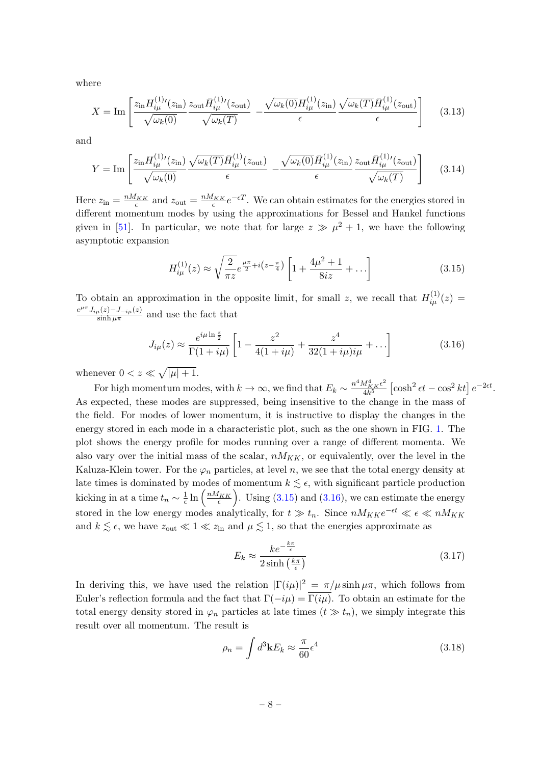where

$$
X = \text{Im}\left[\frac{z_{\text{in}}H_{i\mu}^{(1)}(z_{\text{in}})}{\sqrt{\omega_k(0)}}\frac{z_{\text{out}}\bar{H}_{i\mu}^{(1)}(z_{\text{out}})}{\sqrt{\omega_k(T)}} - \frac{\sqrt{\omega_k(0)}H_{i\mu}^{(1)}(z_{\text{in}})}{\epsilon}\frac{\sqrt{\omega_k(T)}\bar{H}_{i\mu}^{(1)}(z_{\text{out}})}{\epsilon}\right] \tag{3.13}
$$

and

$$
Y = \operatorname{Im}\left[\frac{z_{\text{in}}H_{i\mu}^{(1)}(z_{\text{in}})}{\sqrt{\omega_k(0)}}\frac{\sqrt{\omega_k(T)}\bar{H}_{i\mu}^{(1)}(z_{\text{out}})}{\epsilon} - \frac{\sqrt{\omega_k(0)}\bar{H}_{i\mu}^{(1)}(z_{\text{in}})}{\epsilon}\frac{z_{\text{out}}\bar{H}_{i\mu}^{(1)}(z_{\text{out}})}{\sqrt{\omega_k(T)}}\right] \tag{3.14}
$$

Here  $z_{\text{in}} = \frac{nM_{KK}}{\epsilon}$  and  $z_{\text{out}} = \frac{nM_{KK}}{\epsilon}e^{-\epsilon T}$ . We can obtain estimates for the energies stored in different momentum modes by using the approximations for Bessel and Hankel functions given in [\[51\]](#page-13-14). In particular, we note that for large  $z \gg \mu^2 + 1$ , we have the following asymptotic expansion

<span id="page-8-0"></span>
$$
H_{i\mu}^{(1)}(z) \approx \sqrt{\frac{2}{\pi z}} e^{\frac{\mu \pi}{2} + i(z - \frac{\pi}{4})} \left[ 1 + \frac{4\mu^2 + 1}{8iz} + \dots \right]
$$
 (3.15)

To obtain an approximation in the opposite limit, for small z, we recall that  $H_{i\mu}^{(1)}(z) =$  $e^{\mu \pi} J_{i\mu}(z) - J_{-i\mu}(z)$  $\frac{\mu(z)-J-i\mu(z)}{\sinh \mu\pi}$  and use the fact that

<span id="page-8-1"></span>
$$
J_{i\mu}(z) \approx \frac{e^{i\mu \ln \frac{z}{2}}}{\Gamma(1+i\mu)} \left[ 1 - \frac{z^2}{4(1+i\mu)} + \frac{z^4}{32(1+i\mu)i\mu} + \ldots \right]
$$
(3.16)

whenever  $0 < z \ll \sqrt{|\mu| + 1}$ .

For high momentum modes, with  $k \to \infty$ , we find that  $E_k \sim \frac{n^4 M_{KK}^4 \epsilon^2}{4k^5}$  $\frac{M_{KK}^4 \epsilon^2}{4k^5} \left[ \cosh^2 \epsilon t - \cos^2 kt \right] e^{-2\epsilon t}.$ As expected, these modes are suppressed, being insensitive to the change in the mass of the field. For modes of lower momentum, it is instructive to display the changes in the energy stored in each mode in a characteristic plot, such as the one shown in FIG. [1.](#page-9-0) The plot shows the energy profile for modes running over a range of different momenta. We also vary over the initial mass of the scalar,  $nM_{KK}$ , or equivalently, over the level in the Kaluza-Klein tower. For the  $\varphi_n$  particles, at level n, we see that the total energy density at late times is dominated by modes of momentum  $k \lesssim \epsilon$ , with significant particle production kicking in at a time  $t_n \sim \frac{1}{\epsilon}$  $\frac{1}{\epsilon} \ln \left( \frac{nM_{KK}}{\epsilon} \right)$ . Using [\(3.15\)](#page-8-0) and [\(3.16\)](#page-8-1), we can estimate the energy stored in the low energy modes analytically, for  $t \gg t_n$ . Since  $nM_{KK}e^{-\epsilon t} \ll \epsilon \ll nM_{KK}$ and  $k \lesssim \epsilon$ , we have  $z_{\text{out}} \ll 1 \ll z_{\text{in}}$  and  $\mu \lesssim 1$ , so that the energies approximate as

$$
E_k \approx \frac{ke^{-\frac{k\pi}{\epsilon}}}{2\sinh\left(\frac{k\pi}{\epsilon}\right)}\tag{3.17}
$$

In deriving this, we have used the relation  $|\Gamma(i\mu)|^2 = \pi/\mu \sinh \mu \pi$ , which follows from Euler's reflection formula and the fact that  $\Gamma(-i\mu) = \overline{\Gamma(i\mu)}$ . To obtain an estimate for the total energy density stored in  $\varphi_n$  particles at late times  $(t \gg t_n)$ , we simply integrate this result over all momentum. The result is

$$
\rho_n = \int d^3 \mathbf{k} E_k \approx \frac{\pi}{60} \epsilon^4 \tag{3.18}
$$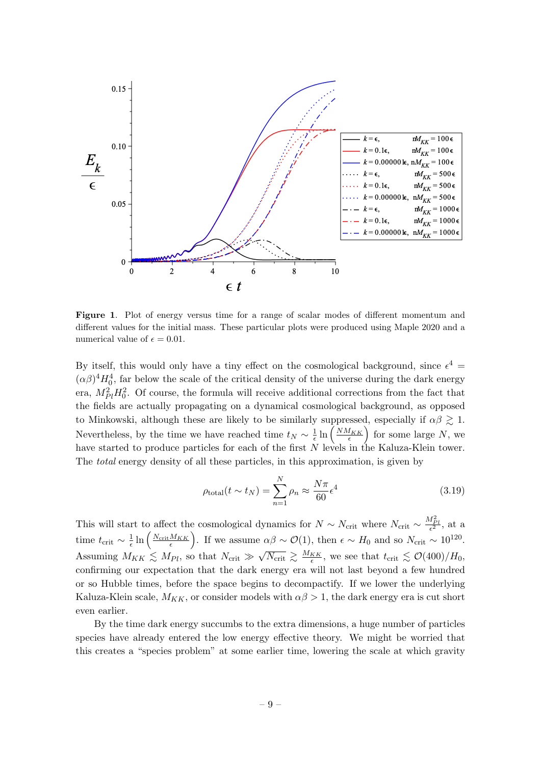

<span id="page-9-0"></span>Figure 1. Plot of energy versus time for a range of scalar modes of different momentum and different values for the initial mass. These particular plots were produced using Maple 2020 and a numerical value of  $\epsilon = 0.01$ .

By itself, this would only have a tiny effect on the cosmological background, since  $\epsilon^4$  =  $(\alpha\beta)^4 H_0^4$ , far below the scale of the critical density of the universe during the dark energy era,  $M_{Pl}^2 H_0^2$ . Of course, the formula will receive additional corrections from the fact that the fields are actually propagating on a dynamical cosmological background, as opposed to Minkowski, although these are likely to be similarly suppressed, especially if  $\alpha\beta \gtrsim 1$ . Nevertheless, by the time we have reached time  $t_N \sim \frac{1}{\epsilon}$  $\frac{1}{\epsilon} \ln \left( \frac{N M_{KK}}{\epsilon} \right)$  for some large N, we have started to produce particles for each of the first N levels in the Kaluza-Klein tower. The total energy density of all these particles, in this approximation, is given by

$$
\rho_{\text{total}}(t \sim t_N) = \sum_{n=1}^{N} \rho_n \approx \frac{N\pi}{60} \epsilon^4 \tag{3.19}
$$

This will start to affect the cosmological dynamics for  $N \sim N_{\text{crit}}$  where  $N_{\text{crit}} \sim \frac{M_{Pl}^2}{\epsilon^2}$ , at a time  $t_{\rm crit} \sim \frac{1}{\epsilon}$  $\frac{1}{\epsilon} \ln \left( \frac{N_{\text{crit}} M_{KK}}{\epsilon} \right)$ . If we assume  $\alpha \beta \sim \mathcal{O}(1)$ , then  $\epsilon \sim H_0$  and so  $N_{\text{crit}} \sim 10^{120}$ . Assuming  $M_{KK} \lesssim M_{Pl}$ , so that  $N_{\text{crit}} \gg \sqrt{N_{\text{crit}}} \gtrsim \frac{M_{KK}}{\epsilon}$ , we see that  $t_{\text{crit}} \lesssim \mathcal{O}(400)/H_0$ , √ confirming our expectation that the dark energy era will not last beyond a few hundred or so Hubble times, before the space begins to decompactify. If we lower the underlying Kaluza-Klein scale,  $M_{KK}$ , or consider models with  $\alpha\beta > 1$ , the dark energy era is cut short even earlier.

By the time dark energy succumbs to the extra dimensions, a huge number of particles species have already entered the low energy effective theory. We might be worried that this creates a "species problem" at some earlier time, lowering the scale at which gravity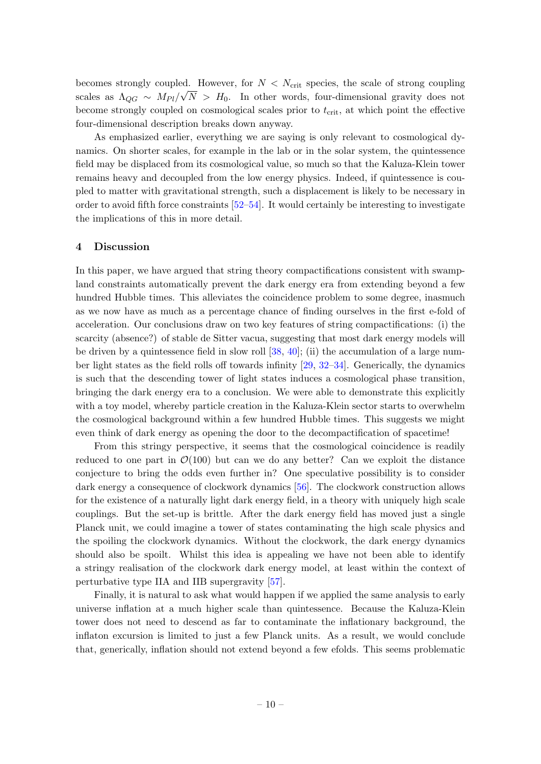becomes strongly coupled. However, for  $N < N_{\text{crit}}$  species, the scale of strong coupling scales as  $\Lambda_{QG} \sim M_{Pl}/\sqrt{N} > H_0$ . In other words, four-dimensional gravity does not become strongly coupled on cosmological scales prior to  $t_{\text{crit}}$ , at which point the effective four-dimensional description breaks down anyway.

As emphasized earlier, everything we are saying is only relevant to cosmological dynamics. On shorter scales, for example in the lab or in the solar system, the quintessence field may be displaced from its cosmological value, so much so that the Kaluza-Klein tower remains heavy and decoupled from the low energy physics. Indeed, if quintessence is coupled to matter with gravitational strength, such a displacement is likely to be necessary in order to avoid fifth force constraints [\[52–](#page-13-15)[54\]](#page-13-16). It would certainly be interesting to investigate the implications of this in more detail.

### <span id="page-10-0"></span>4 Discussion

In this paper, we have argued that string theory compactifications consistent with swampland constraints automatically prevent the dark energy era from extending beyond a few hundred Hubble times. This alleviates the coincidence problem to some degree, inasmuch as we now have as much as a percentage chance of finding ourselves in the first e-fold of acceleration. Our conclusions draw on two key features of string compactifications: (i) the scarcity (absence?) of stable de Sitter vacua, suggesting that most dark energy models will be driven by a quintessence field in slow roll [\[38,](#page-13-10) [40\]](#page-13-11); (ii) the accumulation of a large number light states as the field rolls off towards infinity [\[29,](#page-12-17) [32–](#page-13-3)[34\]](#page-13-4). Generically, the dynamics is such that the descending tower of light states induces a cosmological phase transition, bringing the dark energy era to a conclusion. We were able to demonstrate this explicitly with a toy model, whereby particle creation in the Kaluza-Klein sector starts to overwhelm the cosmological background within a few hundred Hubble times. This suggests we might even think of dark energy as opening the door to the decompactification of spacetime!

From this stringy perspective, it seems that the cosmological coincidence is readily reduced to one part in  $\mathcal{O}(100)$  but can we do any better? Can we exploit the distance conjecture to bring the odds even further in? One speculative possibility is to consider dark energy a consequence of clockwork dynamics [\[56\]](#page-13-17). The clockwork construction allows for the existence of a naturally light dark energy field, in a theory with uniquely high scale couplings. But the set-up is brittle. After the dark energy field has moved just a single Planck unit, we could imagine a tower of states contaminating the high scale physics and the spoiling the clockwork dynamics. Without the clockwork, the dark energy dynamics should also be spoilt. Whilst this idea is appealing we have not been able to identify a stringy realisation of the clockwork dark energy model, at least within the context of perturbative type IIA and IIB supergravity [\[57\]](#page-13-18).

Finally, it is natural to ask what would happen if we applied the same analysis to early universe inflation at a much higher scale than quintessence. Because the Kaluza-Klein tower does not need to descend as far to contaminate the inflationary background, the inflaton excursion is limited to just a few Planck units. As a result, we would conclude that, generically, inflation should not extend beyond a few efolds. This seems problematic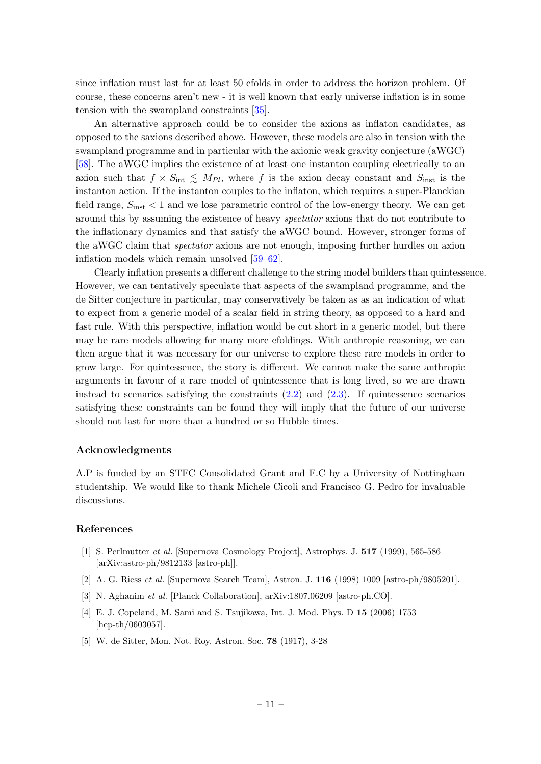since inflation must last for at least 50 efolds in order to address the horizon problem. Of course, these concerns aren't new - it is well known that early universe inflation is in some tension with the swampland constraints [\[35\]](#page-13-0).

An alternative approach could be to consider the axions as inflaton candidates, as opposed to the saxions described above. However, these models are also in tension with the swampland programme and in particular with the axionic weak gravity conjecture (aWGC) [\[58\]](#page-14-3). The aWGC implies the existence of at least one instanton coupling electrically to an axion such that  $f \times S_{int} \leq M_{Pl}$ , where f is the axion decay constant and  $S_{inst}$  is the instanton action. If the instanton couples to the inflaton, which requires a super-Planckian field range,  $S_{\text{inst}} < 1$  and we lose parametric control of the low-energy theory. We can get around this by assuming the existence of heavy spectator axions that do not contribute to the inflationary dynamics and that satisfy the aWGC bound. However, stronger forms of the aWGC claim that spectator axions are not enough, imposing further hurdles on axion inflation models which remain unsolved [\[59–](#page-14-4)[62\]](#page-14-5).

Clearly inflation presents a different challenge to the string model builders than quintessence. However, we can tentatively speculate that aspects of the swampland programme, and the de Sitter conjecture in particular, may conservatively be taken as as an indication of what to expect from a generic model of a scalar field in string theory, as opposed to a hard and fast rule. With this perspective, inflation would be cut short in a generic model, but there may be rare models allowing for many more efoldings. With anthropic reasoning, we can then argue that it was necessary for our universe to explore these rare models in order to grow large. For quintessence, the story is different. We cannot make the same anthropic arguments in favour of a rare model of quintessence that is long lived, so we are drawn instead to scenarios satisfying the constraints  $(2.2)$  and  $(2.3)$ . If quintessence scenarios satisfying these constraints can be found they will imply that the future of our universe should not last for more than a hundred or so Hubble times.

#### Acknowledgments

A.P is funded by an STFC Consolidated Grant and F.C by a University of Nottingham studentship. We would like to thank Michele Cicoli and Francisco G. Pedro for invaluable discussions.

#### References

- <span id="page-11-0"></span>[1] S. Perlmutter et al. [Supernova Cosmology Project], Astrophys. J. 517 (1999), 565-586 [arXiv:astro-ph/9812133 [astro-ph]].
- <span id="page-11-1"></span>[2] A. G. Riess et al. [Supernova Search Team], Astron. J. 116 (1998) 1009 [astro-ph/9805201].
- <span id="page-11-2"></span>[3] N. Aghanim et al. [Planck Collaboration], arXiv:1807.06209 [astro-ph.CO].
- <span id="page-11-3"></span>[4] E. J. Copeland, M. Sami and S. Tsujikawa, Int. J. Mod. Phys. D 15 (2006) 1753 [hep-th/0603057].
- <span id="page-11-4"></span>[5] W. de Sitter, Mon. Not. Roy. Astron. Soc. 78 (1917), 3-28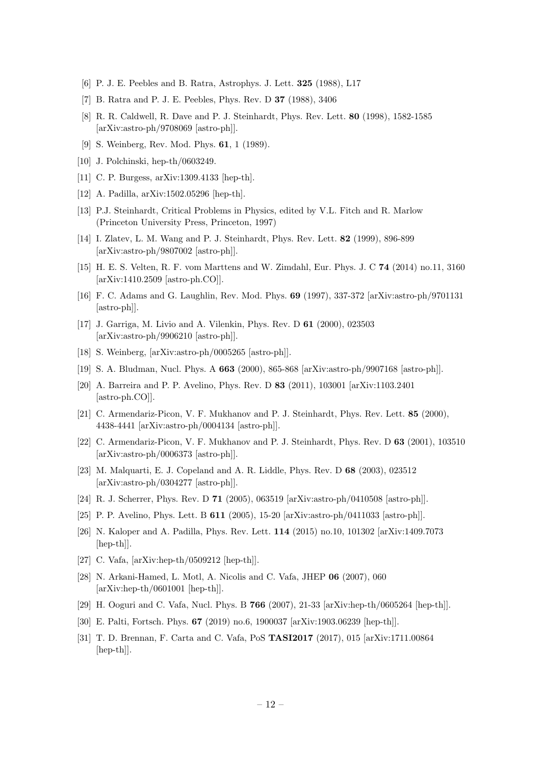- <span id="page-12-0"></span>[6] P. J. E. Peebles and B. Ratra, Astrophys. J. Lett. 325 (1988), L17
- [7] B. Ratra and P. J. E. Peebles, Phys. Rev. D 37 (1988), 3406
- <span id="page-12-1"></span>[8] R. R. Caldwell, R. Dave and P. J. Steinhardt, Phys. Rev. Lett. 80 (1998), 1582-1585 [arXiv:astro-ph/9708069 [astro-ph]].
- <span id="page-12-2"></span>[9] S. Weinberg, Rev. Mod. Phys. 61, 1 (1989).
- [10] J. Polchinski, hep-th/0603249.
- [11] C. P. Burgess, arXiv:1309.4133 [hep-th].
- <span id="page-12-3"></span>[12] A. Padilla, arXiv:1502.05296 [hep-th].
- <span id="page-12-4"></span>[13] P.J. Steinhardt, Critical Problems in Physics, edited by V.L. Fitch and R. Marlow (Princeton University Press, Princeton, 1997)
- <span id="page-12-5"></span>[14] I. Zlatev, L. M. Wang and P. J. Steinhardt, Phys. Rev. Lett. 82 (1999), 896-899 [arXiv:astro-ph/9807002 [astro-ph]].
- <span id="page-12-6"></span>[15] H. E. S. Velten, R. F. vom Marttens and W. Zimdahl, Eur. Phys. J. C 74 (2014) no.11, 3160 [arXiv:1410.2509 [astro-ph.CO]].
- <span id="page-12-7"></span>[16] F. C. Adams and G. Laughlin, Rev. Mod. Phys. 69 (1997), 337-372 [arXiv:astro-ph/9701131 [astro-ph]].
- <span id="page-12-8"></span>[17] J. Garriga, M. Livio and A. Vilenkin, Phys. Rev. D 61 (2000), 023503 [arXiv:astro-ph/9906210 [astro-ph]].
- [18] S. Weinberg, [arXiv:astro-ph/0005265 [astro-ph]].
- [19] S. A. Bludman, Nucl. Phys. A 663 (2000), 865-868 [arXiv:astro-ph/9907168 [astro-ph]].
- <span id="page-12-9"></span>[20] A. Barreira and P. P. Avelino, Phys. Rev. D 83 (2011), 103001 [arXiv:1103.2401 [astro-ph.CO]].
- <span id="page-12-10"></span>[21] C. Armendariz-Picon, V. F. Mukhanov and P. J. Steinhardt, Phys. Rev. Lett. 85 (2000), 4438-4441 [arXiv:astro-ph/0004134 [astro-ph]].
- [22] C. Armendariz-Picon, V. F. Mukhanov and P. J. Steinhardt, Phys. Rev. D 63 (2001), 103510 [arXiv:astro-ph/0006373 [astro-ph]].
- <span id="page-12-11"></span>[23] M. Malquarti, E. J. Copeland and A. R. Liddle, Phys. Rev. D 68 (2003), 023512 [arXiv:astro-ph/0304277 [astro-ph]].
- <span id="page-12-12"></span>[24] R. J. Scherrer, Phys. Rev. D 71 (2005), 063519 [arXiv:astro-ph/0410508 [astro-ph]].
- <span id="page-12-13"></span>[25] P. P. Avelino, Phys. Lett. B 611 (2005), 15-20 [arXiv:astro-ph/0411033 [astro-ph]].
- <span id="page-12-14"></span>[26] N. Kaloper and A. Padilla, Phys. Rev. Lett. 114 (2015) no.10, 101302 [arXiv:1409.7073 [hep-th]].
- <span id="page-12-15"></span>[27] C. Vafa, [arXiv:hep-th/0509212 [hep-th]].
- [28] N. Arkani-Hamed, L. Motl, A. Nicolis and C. Vafa, JHEP 06 (2007), 060 [arXiv:hep-th/0601001 [hep-th]].
- <span id="page-12-17"></span>[29] H. Ooguri and C. Vafa, Nucl. Phys. B 766 (2007), 21-33 [arXiv:hep-th/0605264 [hep-th]].
- [30] E. Palti, Fortsch. Phys. 67 (2019) no.6, 1900037 [arXiv:1903.06239 [hep-th]].
- <span id="page-12-16"></span>[31] T. D. Brennan, F. Carta and C. Vafa, PoS TASI2017 (2017), 015 [arXiv:1711.00864 [hep-th]].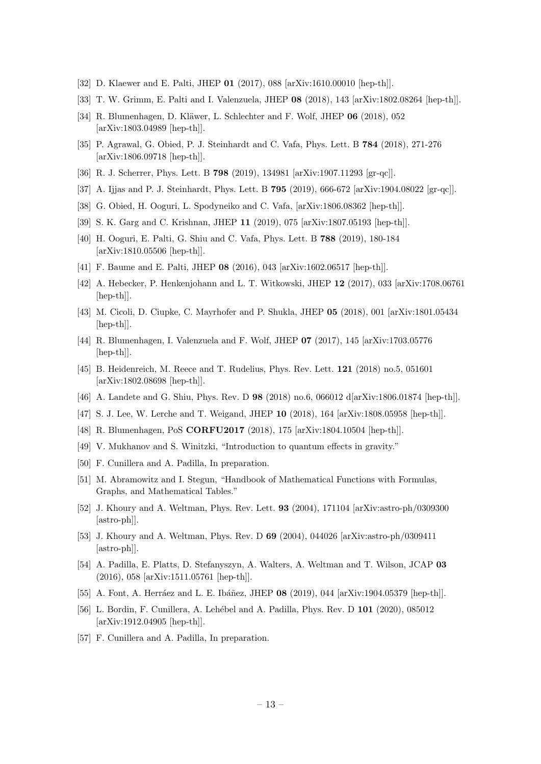- <span id="page-13-3"></span>[32] D. Klaewer and E. Palti, JHEP 01 (2017), 088 [arXiv:1610.00010 [hep-th]].
- [33] T. W. Grimm, E. Palti and I. Valenzuela, JHEP 08 (2018), 143 [arXiv:1802.08264 [hep-th]].
- <span id="page-13-4"></span>[34] R. Blumenhagen, D. Kläwer, L. Schlechter and F. Wolf, JHEP 06 (2018), 052 [arXiv:1803.04989 [hep-th]].
- <span id="page-13-0"></span>[35] P. Agrawal, G. Obied, P. J. Steinhardt and C. Vafa, Phys. Lett. B 784 (2018), 271-276 [arXiv:1806.09718 [hep-th]].
- <span id="page-13-1"></span>[36] R. J. Scherrer, Phys. Lett. B 798 (2019), 134981 [arXiv:1907.11293 [gr-qc]].
- <span id="page-13-2"></span>[37] A. Ijjas and P. J. Steinhardt, Phys. Lett. B 795 (2019), 666-672 [arXiv:1904.08022 [gr-qc]].
- <span id="page-13-10"></span>[38] G. Obied, H. Ooguri, L. Spodyneiko and C. Vafa, [arXiv:1806.08362 [hep-th]].
- [39] S. K. Garg and C. Krishnan, JHEP 11 (2019), 075 [arXiv:1807.05193 [hep-th]].
- <span id="page-13-11"></span>[40] H. Ooguri, E. Palti, G. Shiu and C. Vafa, Phys. Lett. B 788 (2019), 180-184 [arXiv:1810.05506 [hep-th]].
- <span id="page-13-5"></span>[41] F. Baume and E. Palti, JHEP 08 (2016), 043 [arXiv:1602.06517 [hep-th]].
- [42] A. Hebecker, P. Henkenjohann and L. T. Witkowski, JHEP 12 (2017), 033 [arXiv:1708.06761 [hep-th]].
- <span id="page-13-6"></span>[43] M. Cicoli, D. Ciupke, C. Mayrhofer and P. Shukla, JHEP 05 (2018), 001 [arXiv:1801.05434 [hep-th]].
- <span id="page-13-7"></span>[44] R. Blumenhagen, I. Valenzuela and F. Wolf, JHEP 07 (2017), 145 [arXiv:1703.05776 [hep-th]].
- [45] B. Heidenreich, M. Reece and T. Rudelius, Phys. Rev. Lett. 121 (2018) no.5, 051601 [arXiv:1802.08698 [hep-th]].
- [46] A. Landete and G. Shiu, Phys. Rev. D 98 (2018) no.6, 066012 d[arXiv:1806.01874 [hep-th]].
- [47] S. J. Lee, W. Lerche and T. Weigand, JHEP 10 (2018), 164 [arXiv:1808.05958 [hep-th]].
- <span id="page-13-8"></span>[48] R. Blumenhagen, PoS CORFU2017 (2018), 175 [arXiv:1804.10504 [hep-th]].
- <span id="page-13-13"></span>[49] V. Mukhanov and S. Winitzki, "Introduction to quantum effects in gravity."
- <span id="page-13-12"></span>[50] F. Cunillera and A. Padilla, In preparation.
- <span id="page-13-14"></span>[51] M. Abramowitz and I. Stegun, "Handbook of Mathematical Functions with Formulas, Graphs, and Mathematical Tables."
- <span id="page-13-15"></span>[52] J. Khoury and A. Weltman, Phys. Rev. Lett. 93 (2004), 171104 [arXiv:astro-ph/0309300 [astro-ph]].
- [53] J. Khoury and A. Weltman, Phys. Rev. D 69 (2004), 044026 [arXiv:astro-ph/0309411 [astro-ph]].
- <span id="page-13-16"></span>[54] A. Padilla, E. Platts, D. Stefanyszyn, A. Walters, A. Weltman and T. Wilson, JCAP 03 (2016), 058 [arXiv:1511.05761 [hep-th]].
- <span id="page-13-9"></span>[55] A. Font, A. Herráez and L. E. Ibáñez, JHEP 08 (2019), 044 [arXiv:1904.05379 [hep-th]].
- <span id="page-13-17"></span>[56] L. Bordin, F. Cunillera, A. Lehébel and A. Padilla, Phys. Rev. D 101 (2020), 085012 [arXiv:1912.04905 [hep-th]].
- <span id="page-13-18"></span>[57] F. Cunillera and A. Padilla, In preparation.